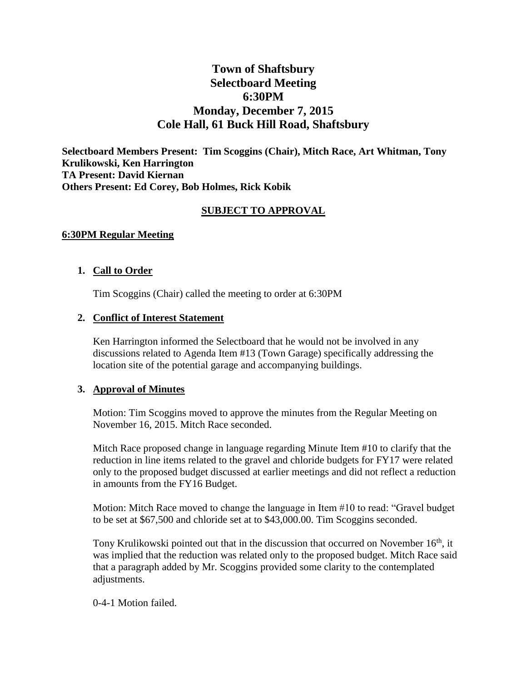# **Town of Shaftsbury Selectboard Meeting 6:30PM Monday, December 7, 2015 Cole Hall, 61 Buck Hill Road, Shaftsbury**

**Selectboard Members Present: Tim Scoggins (Chair), Mitch Race, Art Whitman, Tony Krulikowski, Ken Harrington TA Present: David Kiernan Others Present: Ed Corey, Bob Holmes, Rick Kobik**

### **SUBJECT TO APPROVAL**

#### **6:30PM Regular Meeting**

#### **1. Call to Order**

Tim Scoggins (Chair) called the meeting to order at 6:30PM

#### **2. Conflict of Interest Statement**

Ken Harrington informed the Selectboard that he would not be involved in any discussions related to Agenda Item #13 (Town Garage) specifically addressing the location site of the potential garage and accompanying buildings.

#### **3. Approval of Minutes**

Motion: Tim Scoggins moved to approve the minutes from the Regular Meeting on November 16, 2015. Mitch Race seconded.

Mitch Race proposed change in language regarding Minute Item #10 to clarify that the reduction in line items related to the gravel and chloride budgets for FY17 were related only to the proposed budget discussed at earlier meetings and did not reflect a reduction in amounts from the FY16 Budget.

Motion: Mitch Race moved to change the language in Item #10 to read: "Gravel budget to be set at \$67,500 and chloride set at to \$43,000.00. Tim Scoggins seconded.

Tony Krulikowski pointed out that in the discussion that occurred on November  $16<sup>th</sup>$ , it was implied that the reduction was related only to the proposed budget. Mitch Race said that a paragraph added by Mr. Scoggins provided some clarity to the contemplated adjustments.

0-4-1 Motion failed.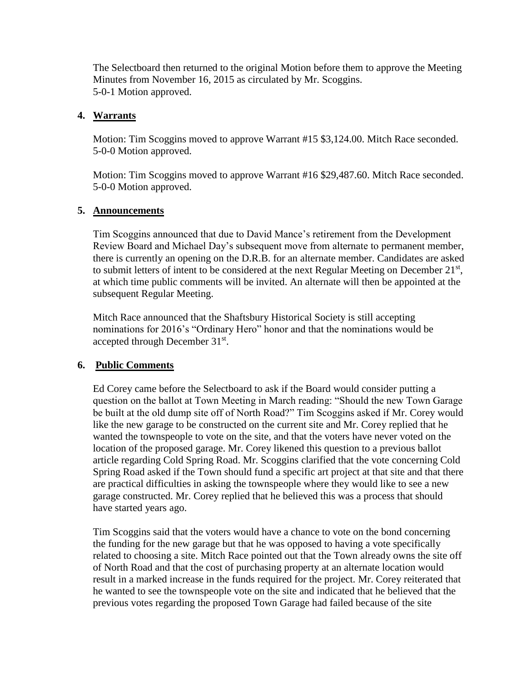The Selectboard then returned to the original Motion before them to approve the Meeting Minutes from November 16, 2015 as circulated by Mr. Scoggins. 5-0-1 Motion approved.

### **4. Warrants**

Motion: Tim Scoggins moved to approve Warrant #15 \$3,124.00. Mitch Race seconded. 5-0-0 Motion approved.

Motion: Tim Scoggins moved to approve Warrant #16 \$29,487.60. Mitch Race seconded. 5-0-0 Motion approved.

#### **5. Announcements**

Tim Scoggins announced that due to David Mance's retirement from the Development Review Board and Michael Day's subsequent move from alternate to permanent member, there is currently an opening on the D.R.B. for an alternate member. Candidates are asked to submit letters of intent to be considered at the next Regular Meeting on December  $21<sup>st</sup>$ , at which time public comments will be invited. An alternate will then be appointed at the subsequent Regular Meeting.

Mitch Race announced that the Shaftsbury Historical Society is still accepting nominations for 2016's "Ordinary Hero" honor and that the nominations would be accepted through December 31<sup>st</sup>.

## **6. Public Comments**

Ed Corey came before the Selectboard to ask if the Board would consider putting a question on the ballot at Town Meeting in March reading: "Should the new Town Garage be built at the old dump site off of North Road?" Tim Scoggins asked if Mr. Corey would like the new garage to be constructed on the current site and Mr. Corey replied that he wanted the townspeople to vote on the site, and that the voters have never voted on the location of the proposed garage. Mr. Corey likened this question to a previous ballot article regarding Cold Spring Road. Mr. Scoggins clarified that the vote concerning Cold Spring Road asked if the Town should fund a specific art project at that site and that there are practical difficulties in asking the townspeople where they would like to see a new garage constructed. Mr. Corey replied that he believed this was a process that should have started years ago.

Tim Scoggins said that the voters would have a chance to vote on the bond concerning the funding for the new garage but that he was opposed to having a vote specifically related to choosing a site. Mitch Race pointed out that the Town already owns the site off of North Road and that the cost of purchasing property at an alternate location would result in a marked increase in the funds required for the project. Mr. Corey reiterated that he wanted to see the townspeople vote on the site and indicated that he believed that the previous votes regarding the proposed Town Garage had failed because of the site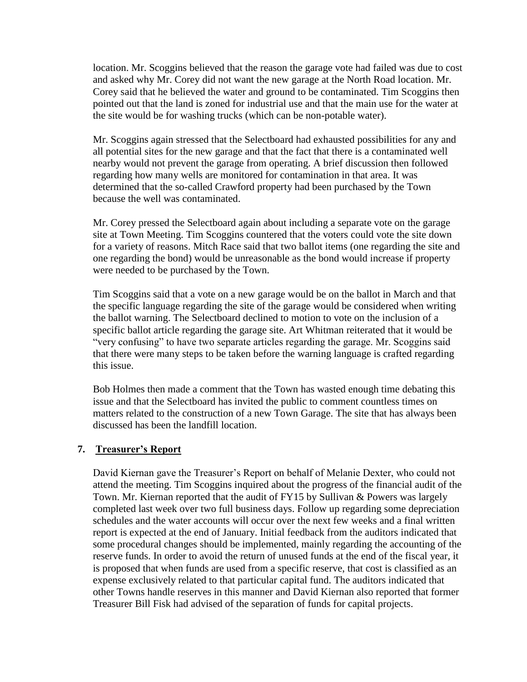location. Mr. Scoggins believed that the reason the garage vote had failed was due to cost and asked why Mr. Corey did not want the new garage at the North Road location. Mr. Corey said that he believed the water and ground to be contaminated. Tim Scoggins then pointed out that the land is zoned for industrial use and that the main use for the water at the site would be for washing trucks (which can be non-potable water).

Mr. Scoggins again stressed that the Selectboard had exhausted possibilities for any and all potential sites for the new garage and that the fact that there is a contaminated well nearby would not prevent the garage from operating. A brief discussion then followed regarding how many wells are monitored for contamination in that area. It was determined that the so-called Crawford property had been purchased by the Town because the well was contaminated.

Mr. Corey pressed the Selectboard again about including a separate vote on the garage site at Town Meeting. Tim Scoggins countered that the voters could vote the site down for a variety of reasons. Mitch Race said that two ballot items (one regarding the site and one regarding the bond) would be unreasonable as the bond would increase if property were needed to be purchased by the Town.

Tim Scoggins said that a vote on a new garage would be on the ballot in March and that the specific language regarding the site of the garage would be considered when writing the ballot warning. The Selectboard declined to motion to vote on the inclusion of a specific ballot article regarding the garage site. Art Whitman reiterated that it would be "very confusing" to have two separate articles regarding the garage. Mr. Scoggins said that there were many steps to be taken before the warning language is crafted regarding this issue.

Bob Holmes then made a comment that the Town has wasted enough time debating this issue and that the Selectboard has invited the public to comment countless times on matters related to the construction of a new Town Garage. The site that has always been discussed has been the landfill location.

### **7. Treasurer's Report**

David Kiernan gave the Treasurer's Report on behalf of Melanie Dexter, who could not attend the meeting. Tim Scoggins inquired about the progress of the financial audit of the Town. Mr. Kiernan reported that the audit of FY15 by Sullivan & Powers was largely completed last week over two full business days. Follow up regarding some depreciation schedules and the water accounts will occur over the next few weeks and a final written report is expected at the end of January. Initial feedback from the auditors indicated that some procedural changes should be implemented, mainly regarding the accounting of the reserve funds. In order to avoid the return of unused funds at the end of the fiscal year, it is proposed that when funds are used from a specific reserve, that cost is classified as an expense exclusively related to that particular capital fund. The auditors indicated that other Towns handle reserves in this manner and David Kiernan also reported that former Treasurer Bill Fisk had advised of the separation of funds for capital projects.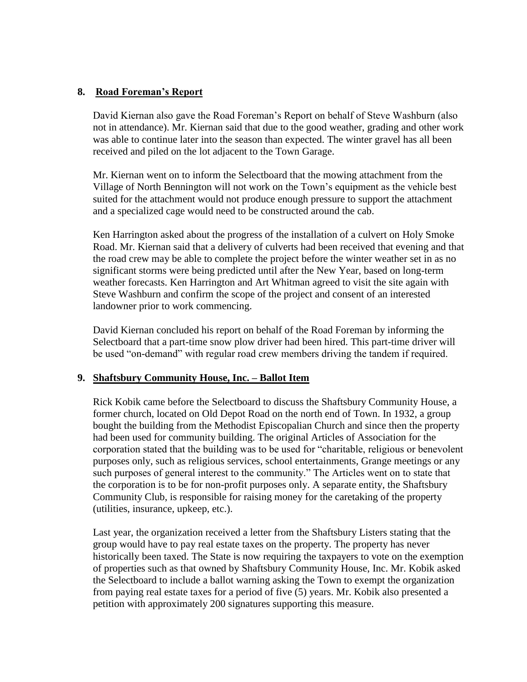## **8. Road Foreman's Report**

David Kiernan also gave the Road Foreman's Report on behalf of Steve Washburn (also not in attendance). Mr. Kiernan said that due to the good weather, grading and other work was able to continue later into the season than expected. The winter gravel has all been received and piled on the lot adjacent to the Town Garage.

Mr. Kiernan went on to inform the Selectboard that the mowing attachment from the Village of North Bennington will not work on the Town's equipment as the vehicle best suited for the attachment would not produce enough pressure to support the attachment and a specialized cage would need to be constructed around the cab.

Ken Harrington asked about the progress of the installation of a culvert on Holy Smoke Road. Mr. Kiernan said that a delivery of culverts had been received that evening and that the road crew may be able to complete the project before the winter weather set in as no significant storms were being predicted until after the New Year, based on long-term weather forecasts. Ken Harrington and Art Whitman agreed to visit the site again with Steve Washburn and confirm the scope of the project and consent of an interested landowner prior to work commencing.

David Kiernan concluded his report on behalf of the Road Foreman by informing the Selectboard that a part-time snow plow driver had been hired. This part-time driver will be used "on-demand" with regular road crew members driving the tandem if required.

#### **9. Shaftsbury Community House, Inc. – Ballot Item**

Rick Kobik came before the Selectboard to discuss the Shaftsbury Community House, a former church, located on Old Depot Road on the north end of Town. In 1932, a group bought the building from the Methodist Episcopalian Church and since then the property had been used for community building. The original Articles of Association for the corporation stated that the building was to be used for "charitable, religious or benevolent purposes only, such as religious services, school entertainments, Grange meetings or any such purposes of general interest to the community." The Articles went on to state that the corporation is to be for non-profit purposes only. A separate entity, the Shaftsbury Community Club, is responsible for raising money for the caretaking of the property (utilities, insurance, upkeep, etc.).

Last year, the organization received a letter from the Shaftsbury Listers stating that the group would have to pay real estate taxes on the property. The property has never historically been taxed. The State is now requiring the taxpayers to vote on the exemption of properties such as that owned by Shaftsbury Community House, Inc. Mr. Kobik asked the Selectboard to include a ballot warning asking the Town to exempt the organization from paying real estate taxes for a period of five (5) years. Mr. Kobik also presented a petition with approximately 200 signatures supporting this measure.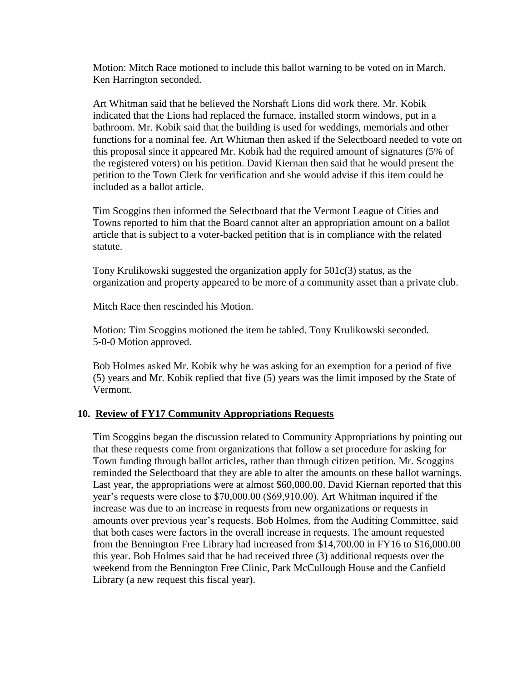Motion: Mitch Race motioned to include this ballot warning to be voted on in March. Ken Harrington seconded.

Art Whitman said that he believed the Norshaft Lions did work there. Mr. Kobik indicated that the Lions had replaced the furnace, installed storm windows, put in a bathroom. Mr. Kobik said that the building is used for weddings, memorials and other functions for a nominal fee. Art Whitman then asked if the Selectboard needed to vote on this proposal since it appeared Mr. Kobik had the required amount of signatures (5% of the registered voters) on his petition. David Kiernan then said that he would present the petition to the Town Clerk for verification and she would advise if this item could be included as a ballot article.

Tim Scoggins then informed the Selectboard that the Vermont League of Cities and Towns reported to him that the Board cannot alter an appropriation amount on a ballot article that is subject to a voter-backed petition that is in compliance with the related statute.

Tony Krulikowski suggested the organization apply for 501c(3) status, as the organization and property appeared to be more of a community asset than a private club.

Mitch Race then rescinded his Motion.

Motion: Tim Scoggins motioned the item be tabled. Tony Krulikowski seconded. 5-0-0 Motion approved.

Bob Holmes asked Mr. Kobik why he was asking for an exemption for a period of five (5) years and Mr. Kobik replied that five (5) years was the limit imposed by the State of Vermont.

## **10. Review of FY17 Community Appropriations Requests**

Tim Scoggins began the discussion related to Community Appropriations by pointing out that these requests come from organizations that follow a set procedure for asking for Town funding through ballot articles, rather than through citizen petition. Mr. Scoggins reminded the Selectboard that they are able to alter the amounts on these ballot warnings. Last year, the appropriations were at almost \$60,000.00. David Kiernan reported that this year's requests were close to \$70,000.00 (\$69,910.00). Art Whitman inquired if the increase was due to an increase in requests from new organizations or requests in amounts over previous year's requests. Bob Holmes, from the Auditing Committee, said that both cases were factors in the overall increase in requests. The amount requested from the Bennington Free Library had increased from \$14,700.00 in FY16 to \$16,000.00 this year. Bob Holmes said that he had received three (3) additional requests over the weekend from the Bennington Free Clinic, Park McCullough House and the Canfield Library (a new request this fiscal year).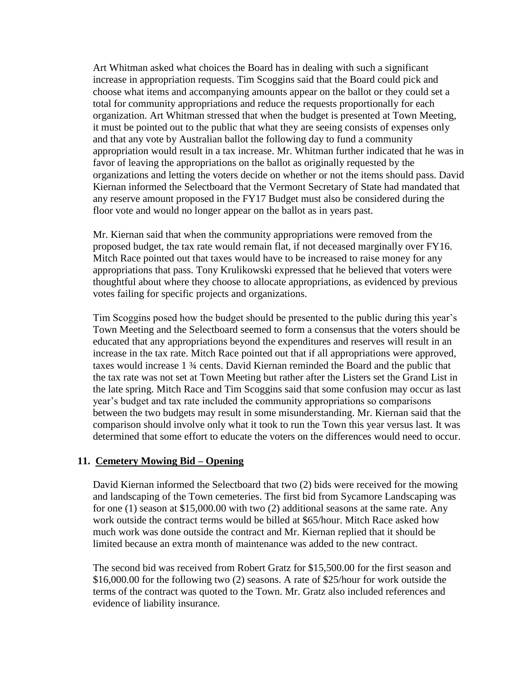Art Whitman asked what choices the Board has in dealing with such a significant increase in appropriation requests. Tim Scoggins said that the Board could pick and choose what items and accompanying amounts appear on the ballot or they could set a total for community appropriations and reduce the requests proportionally for each organization. Art Whitman stressed that when the budget is presented at Town Meeting, it must be pointed out to the public that what they are seeing consists of expenses only and that any vote by Australian ballot the following day to fund a community appropriation would result in a tax increase. Mr. Whitman further indicated that he was in favor of leaving the appropriations on the ballot as originally requested by the organizations and letting the voters decide on whether or not the items should pass. David Kiernan informed the Selectboard that the Vermont Secretary of State had mandated that any reserve amount proposed in the FY17 Budget must also be considered during the floor vote and would no longer appear on the ballot as in years past.

Mr. Kiernan said that when the community appropriations were removed from the proposed budget, the tax rate would remain flat, if not deceased marginally over FY16. Mitch Race pointed out that taxes would have to be increased to raise money for any appropriations that pass. Tony Krulikowski expressed that he believed that voters were thoughtful about where they choose to allocate appropriations, as evidenced by previous votes failing for specific projects and organizations.

Tim Scoggins posed how the budget should be presented to the public during this year's Town Meeting and the Selectboard seemed to form a consensus that the voters should be educated that any appropriations beyond the expenditures and reserves will result in an increase in the tax rate. Mitch Race pointed out that if all appropriations were approved, taxes would increase 1 ¾ cents. David Kiernan reminded the Board and the public that the tax rate was not set at Town Meeting but rather after the Listers set the Grand List in the late spring. Mitch Race and Tim Scoggins said that some confusion may occur as last year's budget and tax rate included the community appropriations so comparisons between the two budgets may result in some misunderstanding. Mr. Kiernan said that the comparison should involve only what it took to run the Town this year versus last. It was determined that some effort to educate the voters on the differences would need to occur.

#### **11. Cemetery Mowing Bid – Opening**

David Kiernan informed the Selectboard that two (2) bids were received for the mowing and landscaping of the Town cemeteries. The first bid from Sycamore Landscaping was for one (1) season at \$15,000.00 with two (2) additional seasons at the same rate. Any work outside the contract terms would be billed at \$65/hour. Mitch Race asked how much work was done outside the contract and Mr. Kiernan replied that it should be limited because an extra month of maintenance was added to the new contract.

The second bid was received from Robert Gratz for \$15,500.00 for the first season and \$16,000.00 for the following two (2) seasons. A rate of \$25/hour for work outside the terms of the contract was quoted to the Town. Mr. Gratz also included references and evidence of liability insurance.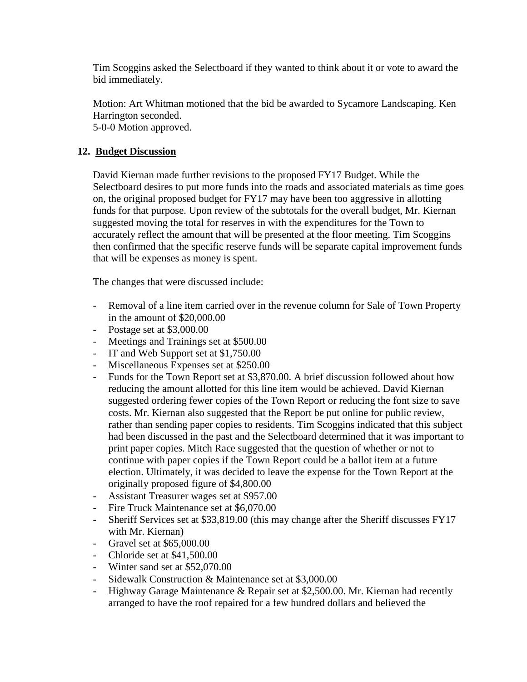Tim Scoggins asked the Selectboard if they wanted to think about it or vote to award the bid immediately.

Motion: Art Whitman motioned that the bid be awarded to Sycamore Landscaping. Ken Harrington seconded.

5-0-0 Motion approved.

## **12. Budget Discussion**

David Kiernan made further revisions to the proposed FY17 Budget. While the Selectboard desires to put more funds into the roads and associated materials as time goes on, the original proposed budget for FY17 may have been too aggressive in allotting funds for that purpose. Upon review of the subtotals for the overall budget, Mr. Kiernan suggested moving the total for reserves in with the expenditures for the Town to accurately reflect the amount that will be presented at the floor meeting. Tim Scoggins then confirmed that the specific reserve funds will be separate capital improvement funds that will be expenses as money is spent.

The changes that were discussed include:

- Removal of a line item carried over in the revenue column for Sale of Town Property in the amount of \$20,000.00
- Postage set at \$3,000.00
- Meetings and Trainings set at \$500.00
- IT and Web Support set at \$1,750.00
- Miscellaneous Expenses set at \$250.00
- Funds for the Town Report set at \$3,870.00. A brief discussion followed about how reducing the amount allotted for this line item would be achieved. David Kiernan suggested ordering fewer copies of the Town Report or reducing the font size to save costs. Mr. Kiernan also suggested that the Report be put online for public review, rather than sending paper copies to residents. Tim Scoggins indicated that this subject had been discussed in the past and the Selectboard determined that it was important to print paper copies. Mitch Race suggested that the question of whether or not to continue with paper copies if the Town Report could be a ballot item at a future election. Ultimately, it was decided to leave the expense for the Town Report at the originally proposed figure of \$4,800.00
- Assistant Treasurer wages set at \$957.00
- Fire Truck Maintenance set at \$6,070.00
- Sheriff Services set at \$33,819.00 (this may change after the Sheriff discusses FY17 with Mr. Kiernan)
- Gravel set at \$65,000.00
- Chloride set at \$41,500.00
- Winter sand set at \$52,070.00
- Sidewalk Construction & Maintenance set at \$3,000.00
- Highway Garage Maintenance & Repair set at \$2,500.00. Mr. Kiernan had recently arranged to have the roof repaired for a few hundred dollars and believed the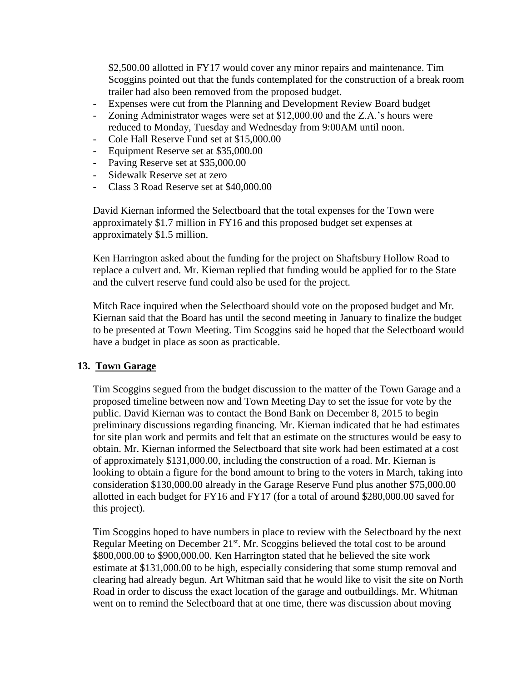\$2,500.00 allotted in FY17 would cover any minor repairs and maintenance. Tim Scoggins pointed out that the funds contemplated for the construction of a break room trailer had also been removed from the proposed budget.

- Expenses were cut from the Planning and Development Review Board budget
- Zoning Administrator wages were set at \$12,000.00 and the Z.A.'s hours were reduced to Monday, Tuesday and Wednesday from 9:00AM until noon.
- Cole Hall Reserve Fund set at \$15,000.00
- Equipment Reserve set at \$35,000.00
- Paving Reserve set at \$35,000.00
- Sidewalk Reserve set at zero
- Class 3 Road Reserve set at \$40,000.00

David Kiernan informed the Selectboard that the total expenses for the Town were approximately \$1.7 million in FY16 and this proposed budget set expenses at approximately \$1.5 million.

Ken Harrington asked about the funding for the project on Shaftsbury Hollow Road to replace a culvert and. Mr. Kiernan replied that funding would be applied for to the State and the culvert reserve fund could also be used for the project.

Mitch Race inquired when the Selectboard should vote on the proposed budget and Mr. Kiernan said that the Board has until the second meeting in January to finalize the budget to be presented at Town Meeting. Tim Scoggins said he hoped that the Selectboard would have a budget in place as soon as practicable.

## **13. Town Garage**

Tim Scoggins segued from the budget discussion to the matter of the Town Garage and a proposed timeline between now and Town Meeting Day to set the issue for vote by the public. David Kiernan was to contact the Bond Bank on December 8, 2015 to begin preliminary discussions regarding financing. Mr. Kiernan indicated that he had estimates for site plan work and permits and felt that an estimate on the structures would be easy to obtain. Mr. Kiernan informed the Selectboard that site work had been estimated at a cost of approximately \$131,000.00, including the construction of a road. Mr. Kiernan is looking to obtain a figure for the bond amount to bring to the voters in March, taking into consideration \$130,000.00 already in the Garage Reserve Fund plus another \$75,000.00 allotted in each budget for FY16 and FY17 (for a total of around \$280,000.00 saved for this project).

Tim Scoggins hoped to have numbers in place to review with the Selectboard by the next Regular Meeting on December  $21^{st}$ . Mr. Scoggins believed the total cost to be around \$800,000.00 to \$900,000.00. Ken Harrington stated that he believed the site work estimate at \$131,000.00 to be high, especially considering that some stump removal and clearing had already begun. Art Whitman said that he would like to visit the site on North Road in order to discuss the exact location of the garage and outbuildings. Mr. Whitman went on to remind the Selectboard that at one time, there was discussion about moving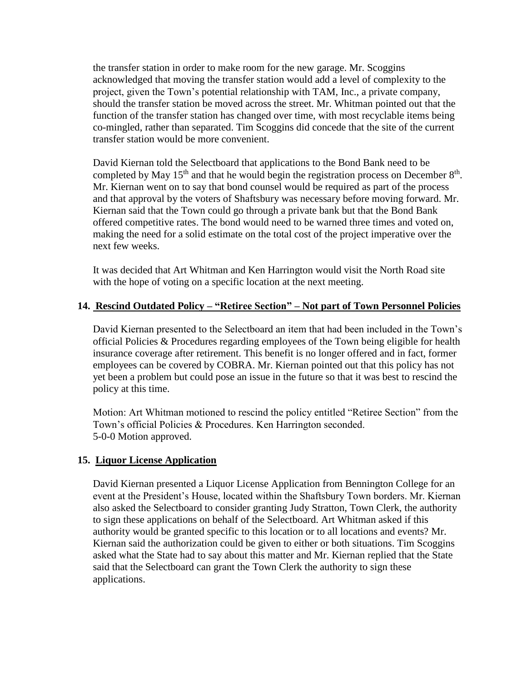the transfer station in order to make room for the new garage. Mr. Scoggins acknowledged that moving the transfer station would add a level of complexity to the project, given the Town's potential relationship with TAM, Inc., a private company, should the transfer station be moved across the street. Mr. Whitman pointed out that the function of the transfer station has changed over time, with most recyclable items being co-mingled, rather than separated. Tim Scoggins did concede that the site of the current transfer station would be more convenient.

David Kiernan told the Selectboard that applications to the Bond Bank need to be completed by May  $15<sup>th</sup>$  and that he would begin the registration process on December  $8<sup>th</sup>$ . Mr. Kiernan went on to say that bond counsel would be required as part of the process and that approval by the voters of Shaftsbury was necessary before moving forward. Mr. Kiernan said that the Town could go through a private bank but that the Bond Bank offered competitive rates. The bond would need to be warned three times and voted on, making the need for a solid estimate on the total cost of the project imperative over the next few weeks.

It was decided that Art Whitman and Ken Harrington would visit the North Road site with the hope of voting on a specific location at the next meeting.

## **14. Rescind Outdated Policy – "Retiree Section" – Not part of Town Personnel Policies**

David Kiernan presented to the Selectboard an item that had been included in the Town's official Policies & Procedures regarding employees of the Town being eligible for health insurance coverage after retirement. This benefit is no longer offered and in fact, former employees can be covered by COBRA. Mr. Kiernan pointed out that this policy has not yet been a problem but could pose an issue in the future so that it was best to rescind the policy at this time.

Motion: Art Whitman motioned to rescind the policy entitled "Retiree Section" from the Town's official Policies & Procedures. Ken Harrington seconded. 5-0-0 Motion approved.

#### **15. Liquor License Application**

David Kiernan presented a Liquor License Application from Bennington College for an event at the President's House, located within the Shaftsbury Town borders. Mr. Kiernan also asked the Selectboard to consider granting Judy Stratton, Town Clerk, the authority to sign these applications on behalf of the Selectboard. Art Whitman asked if this authority would be granted specific to this location or to all locations and events? Mr. Kiernan said the authorization could be given to either or both situations. Tim Scoggins asked what the State had to say about this matter and Mr. Kiernan replied that the State said that the Selectboard can grant the Town Clerk the authority to sign these applications.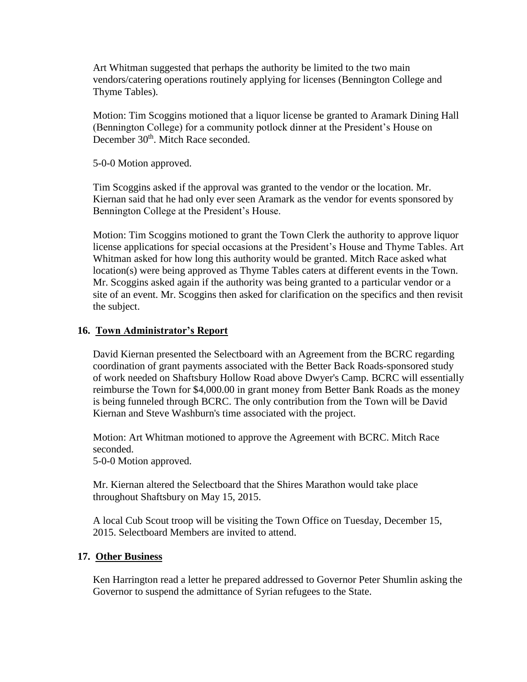Art Whitman suggested that perhaps the authority be limited to the two main vendors/catering operations routinely applying for licenses (Bennington College and Thyme Tables).

Motion: Tim Scoggins motioned that a liquor license be granted to Aramark Dining Hall (Bennington College) for a community potlock dinner at the President's House on December 30<sup>th</sup>. Mitch Race seconded.

5-0-0 Motion approved.

Tim Scoggins asked if the approval was granted to the vendor or the location. Mr. Kiernan said that he had only ever seen Aramark as the vendor for events sponsored by Bennington College at the President's House.

Motion: Tim Scoggins motioned to grant the Town Clerk the authority to approve liquor license applications for special occasions at the President's House and Thyme Tables. Art Whitman asked for how long this authority would be granted. Mitch Race asked what location(s) were being approved as Thyme Tables caters at different events in the Town. Mr. Scoggins asked again if the authority was being granted to a particular vendor or a site of an event. Mr. Scoggins then asked for clarification on the specifics and then revisit the subject.

## **16. Town Administrator's Report**

David Kiernan presented the Selectboard with an Agreement from the BCRC regarding coordination of grant payments associated with the Better Back Roads-sponsored study of work needed on Shaftsbury Hollow Road above Dwyer's Camp. BCRC will essentially reimburse the Town for \$4,000.00 in grant money from Better Bank Roads as the money is being funneled through BCRC. The only contribution from the Town will be David Kiernan and Steve Washburn's time associated with the project.

Motion: Art Whitman motioned to approve the Agreement with BCRC. Mitch Race seconded.

5-0-0 Motion approved.

Mr. Kiernan altered the Selectboard that the Shires Marathon would take place throughout Shaftsbury on May 15, 2015.

A local Cub Scout troop will be visiting the Town Office on Tuesday, December 15, 2015. Selectboard Members are invited to attend.

## **17. Other Business**

Ken Harrington read a letter he prepared addressed to Governor Peter Shumlin asking the Governor to suspend the admittance of Syrian refugees to the State.